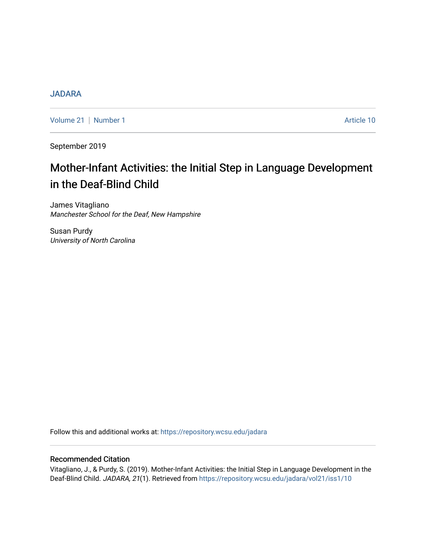# [JADARA](https://repository.wcsu.edu/jadara)

[Volume 21](https://repository.wcsu.edu/jadara/vol21) | [Number 1](https://repository.wcsu.edu/jadara/vol21/iss1) Article 10

September 2019

# Mother-Infant Activities: the Initial Step in Language Development in the Deaf-Blind Child

James Vitagliano Manchester School for the Deaf, New Hampshire

Susan Purdy University of North Carolina

Follow this and additional works at: [https://repository.wcsu.edu/jadara](https://repository.wcsu.edu/jadara?utm_source=repository.wcsu.edu%2Fjadara%2Fvol21%2Fiss1%2F10&utm_medium=PDF&utm_campaign=PDFCoverPages)

# Recommended Citation

Vitagliano, J., & Purdy, S. (2019). Mother-Infant Activities: the Initial Step in Language Development in the Deaf-Blind Child. JADARA, 21(1). Retrieved from [https://repository.wcsu.edu/jadara/vol21/iss1/10](https://repository.wcsu.edu/jadara/vol21/iss1/10?utm_source=repository.wcsu.edu%2Fjadara%2Fvol21%2Fiss1%2F10&utm_medium=PDF&utm_campaign=PDFCoverPages)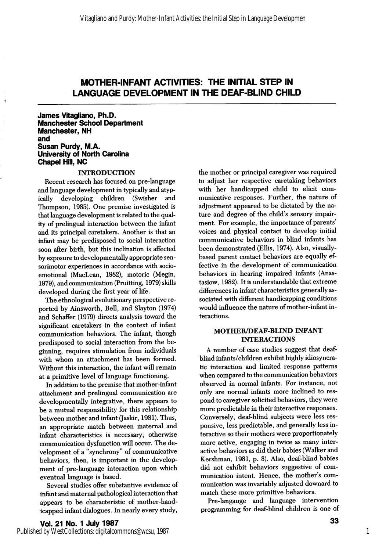# MOTHER-INFANT ACTIVITIES: THE INITIAL STEP IN LANGUAGE DEVELOPMENT IN THE DEAF-BLIND CHILD

James Vitagliano, Ph.D. Manchester School Department Manchester, NH and Susan Purdy, M.A. University of North Caroiina Chapei Hiil, NC

#### INTRODUCTION

Recent research has focused on pre-language and language development in typically and atypically developing children (Swisher and Thompson, 1985). One premise investigated is that language development is related to the qual ity of prelingual interaction between the infant and its principal caretakers. Another is that an infant may be predisposed to social interaction soon after birth, but this inclination is affected by exposure to developmentally appropriate sensorimotor experiences in accordance with socioemotional (MacLean, 1982), motoric (Megin, 1979), and communication (Pruitting, 1979) skills developed during the first year of life.

The ethnological evolutionary perspective re ported by Ainsworth, Bell, and Slayton (1974) and Schaffer (1979) directs analysis toward the significant caretakers in the context of infant communication behaviors. The infant, though predisposed to social interaction from the be ginning, requires stimulation from individuals with whom an attachment has been formed. Without this interaction, the infant will remain at a primitive level of language functioning.

In addition to the premise that mother-infant attachment and prelingual communication are developmentally integrative, there appears to be a mutual responsibility for this relationship between mother and infant (Jaskir, 1981). Thus, an appropriate match between maternal and infant characteristics is necessary, otherwise communication dysfunction will occur. The de velopment of a "synchrony" of communicative behaviors, then, is important in the develop ment of pre-language interaction upon which eventual language is based.

Several studies offer substantive evidence of infant and maternal pathological interaction that appears to be characteristic of mother-hand icapped infant dialogues. In nearly every study.

Vol. 21 No. 1 July 1987 Published by WestCollections: digitalcommons@wcsu, 1987 the mother or principal caregiver was required to adjust her respective caretaking behaviors with her handicapped child to elicit com municative responses. Further, the nature of adjustment appeared to be dictated by the na ture and degree of the child's sensory impair ment. For example, the importance of parents' voices and physical contact to develop initial communicative behaviors in blind infants has been demonstrated (Ellis, 1974). Also, visuallybased parent contact behaviors are equally ef fective in the development of communication behaviors in hearing impaired infants (Anastasiow, 1982). It is understandable that extreme differences in infant characteristics generally as sociated with different handicapping conditions would influence the nature of mother-infant in teractions.

#### MOTHER/DEAF-BUND INFANT INTERACTIONS

A number of case studies suggest that deafblind infants/children exhibit highly idiosyncra tic interaction and limited response patterns when compared to the communication behaviors observed in normal infants. For instance, not only are normal infants more inclined to res pond to caregiver solicited behaviors, they were more predictable in their interactive responses. Conversely, deaf-blind subjects were less res ponsive, less predictable, and generally less in teractive so their mothers were proportionately more active, engaging in twice as many inter active behaviors as did their babies (Walker and Kershman, 1981, p. 8). Also, deaf-blind babies did not exhibit behaviors suggestive of com munication intent. Hence, the mother's com munication was invariably adjusted downard to match these more primitive behaviors.

Pre-langauge and language intervention programming for deaf-blind children is one of

1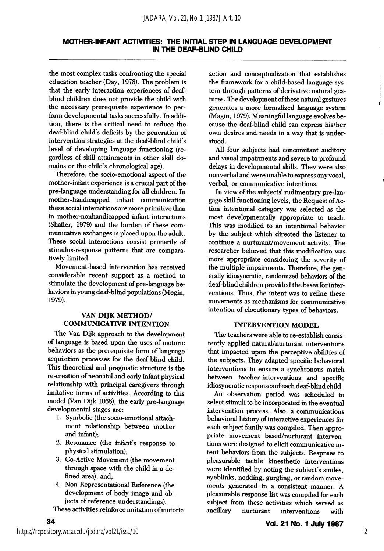## MOTHER-INFANT ACTIVITIES: THE INITIAL STEP IN LANGUAGE DEVELOPMENT IN THE DEAF-BLIND CHILD

the most complex tasks confronting the special education teacher (Day, 1978). The problem is that the early interaction experiences of deafblind children does not provide the child with the necessary prerequisite experience to per form developmental tasks successfully. In addi tion, there is the critical need to reduce the deaf-blind child's deficits by the generation of intervention strategies at the deaf-blind child's level of developing language functioning (re gardless of skill attainments in other skill do mains or the child's chronological age).

Therefore, the socio-emotional aspect of the mother-infant experience is a crucial part of the pre-language understanding for all children. In mother-handicapped infant communication these social interactions are more primitive than in mother-nonhandicapped infant interactions (Shaffer, 1979) and the burden of these communicative exchanges is placed upon the adult. These social interactions consist primarily of stimulus-response patterns that are compara tively limited.

Movement-based intervention has received considerable recent support as a method to stimulate the development of pre-language be haviors in young deaf-blind populations (Megin, 1979).

### VAN DIJK METHOD/ COMMUNICATIVE INTENTION

The Van Dijk approach to the development of language is bsised upon the uses of motoric behaviors as the prerequisite form of language acquisition processes for the deaf-blind child. This theoretical and pragmatic structure is the re-creation of neonatal and early infant physical relationship with principal caregivers through imitative forms of activities. According to this model (Van Dijk 1068), the early pre-language developmental stages are:

- 1. Symbolic (the socio-emotional attach ment relationship between mother and infant);
- 2. Resonance (the infant's response to physical stimulation);
- 3. Co-Active Movement (the movement through space with the child in a de fined area); and,
- 4. Non-Representational Reference (the development of body image and ob jects of reference understandings).

These activities reinforce imitation of motoric

action and conceptualization that establishes the framework for a child-based language sys tem through patterns of derivative natural ges tures. The development of these natural gestures generates a more formalized language system (Magin, 1979). Meaningful language evolves be cause the deaf-blind child can express his/her own desires and needs in a way that is under stood.

All four subjects had concomitant auditory and visual impairments and severe to profound delays in developmental skills. They were also nonverbal and were unable to express any vocal, verbal, or communicative intentions.

In view of the subjects' rudimentary pre-langage skill functioning levels, the Request of Ac tion intentional category was selected as the most developmentally appropriate to teach. This was modified to an intentional behavior by the subject which directed the listener to continue a nurturant/movement activity. The researcher believed that this modification was more appropriate considering the severity of the multiple impairments. Therefore, the gen erally idiosyncratic, randomized behaviors of the deaf-blind children provided the bases for inter ventions. Thus, the intent was to refine these movements as mechanisms for communicative intention of elocutionary types of behaviors.

#### INTERVENTION MODEL

The teachers were able to re-establish consis tently applied natural/nurturant interventions that impacted upon the perceptive abilities of the subjects. They adapted specific behavioral interventions to ensure a synchronous match between teacher-interventions and specific idiosyncratic responses of each deaf-blind child.

An observation period was scheduled to select stimuli to be incorporated in the eventual intervention process. Also, a communications behavioral history of interactive experiences for each subject family was compiled. Then appro priate movement based/nurturant interven tions were designed to elicit communicative in tent behaviors from the subjects. Respnses to pleasurable tactile kinesthetic interventions were identified by noting the subject's smiles, eyeblinks, nodding, gurgling, or random move ments generated in a consistent manner. A pleasurable response list was compiled for each subject from these activities which served as ancillary nurturant interventions with

34

Ÿ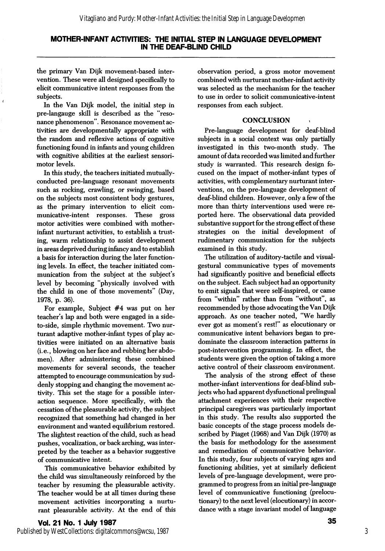## MOTHER-INFANT ACTIVITIES: THE INITIAL STEP IN LANGUAGE DEVELOPMENT IN THE DEAF-BLIND CHILD

the primary Van Dijk movement-based inter vention. These were all designed specifically to elicit communicative intent responses from the subjects.

In the Van Dijk model, the initial step in pre-langauge skill is described as the "reso nance phenomenon". Resonance movement ac tivities are developmentally appropriate with the random and reflexive actions of cognitive functioning found in infants and young children with cognitive abilities at the earliest sensorimotor levels.

In this study, the teachers initiated mutuallyconducted pre-language resonant movements such as rocking, crawling, or swinging, based on the subjects most consistent body gestures, as the primary intervention to elicit com municative-intent responses. These gross motor activities were combined with motherinfant nurturant activities, to establish a trust ing, warm relationship to assist development in areas deprived during infancy and to establish a basis for interaction during the later function ing levels. In effect, the teacher initiated com munication from the subject at the subject's level by becoming "physically involved with the child in one of those movements" (Day, 1978, p. 36).

For example. Subject #4 was put on her teacher's lap and both were engaged in a sideto-side, simple rhythmic movement. Two nur turant adaptive mother-infant types of play ac tivities were initiated on an alternative basis (i.e., blowing on her face and rubbing her abdo men). After administering these combined movements for several seconds, the teacher attempted to encourage communication by sud denly stopping and changing the movement ac tivity. This set the stage for a possible inter action sequence. More specifically, with the cessation of the pleasurable activity, the subject recognized that something had changed in her environment and wanted equilibrium restored. The slightest reaction of the child, such as head pushes, vocalization, or back arching, was inter preted by the teacher as a behavior suggestive of communicative intent.

This communicative behavior exhibited by the child was simultaneously reinforced by the teacher by resuming the pleasurable activity. The teacher would be at all times during these movement activities incorporating a nurtu rant pleasurable activity. At the end of this observation period, a gross motor movement combined with nurturant mother-infant activity was selected as the mechanism for the teacher to use in order to solicit communicative-intent responses from each subject.

## **CONCLUSION**

Pre-language development for deaf-blind subjects in a social context was only partially investigated in this two-month study. The amount of data recorded was limited and further study is warranted. This research design fo cused on the impact of mother-infant types of activities, with complementary nurturant inter ventions, on the pre-language development of deaf-blind children. However, only a few of the more than thirty interventions used were re ported here. The observational data provided substantive support for the strong effect of these strategies on the initial development of rudimentary communication for the subjects examined in this study.

The utilization of auditory-tactile and visualgestural communicative types of movements had significantly positive and beneficial effects on the subject. Each subject had an opportunity to emit signals that were self-inspired, or came from "within" rather than from "without", as recommended by those advocating the Van Dijk approach. As one teacher noted, "We hardly ever got as moment's rest!" as elocutionary or communicative intent behaviors began to pre dominate the classroom interaction patterns in post-intervention programming. In effect, the students were given the option of taking a more active control of their classroom environment.

The analysis of the strong effect of these mother-infant interventions for deaf-blind sub jects who had apparent dysfunctional prelingual attachment experiences with their respective principal caregivers was particularly important in this study. The results also supported the basic concepts of the stage process models de scribed by Piaget (1968) and Van Dijk (1970) as the basis for methodology for the assessment and remediation of communicative behavior. In this study, four subjects of varying ages and functioning abilities, yet at similarly deficient levels of pre-language development, were pro grammed to progress from an initial pre-language level of communicative functioning (prelocutionary) to the next level (elocutionary) in accor dance with a stage invariant model of language